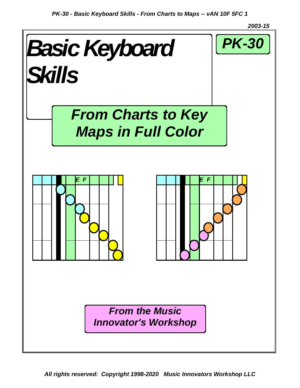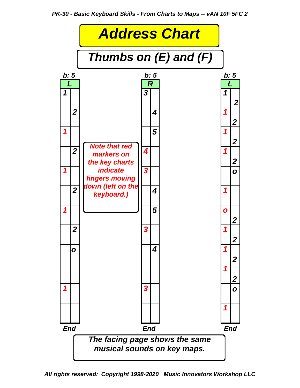

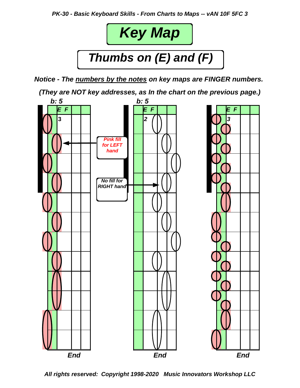

*Notice - The numbers by the notes on key maps are FINGER numbers.*

*(They are NOT key addresses, as In the chart on the previous page.)*

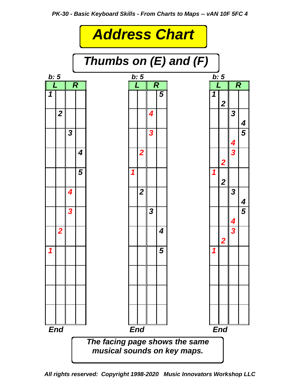

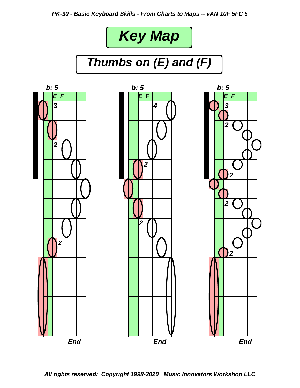



*Thumbs on (E) and (F)*

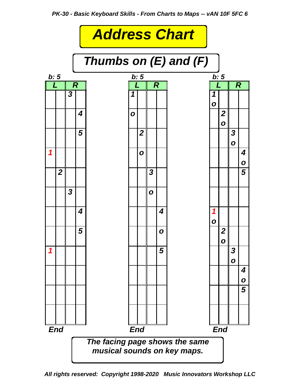

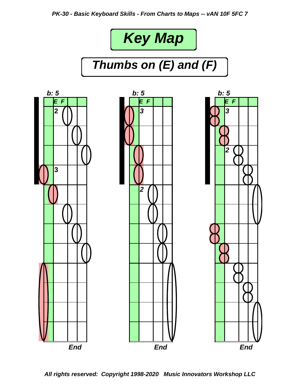

# *Thumbs on (E) and (F)*

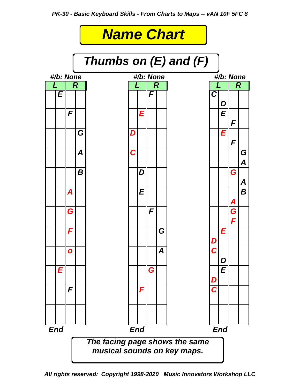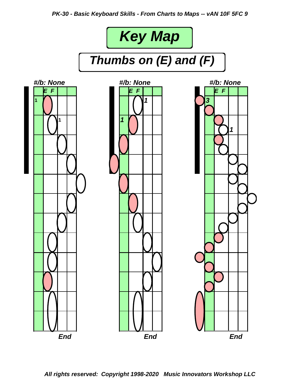*PK-30 - Basic Keyboard Skills - From Charts to Maps -- vAN 10F 5FC 9*

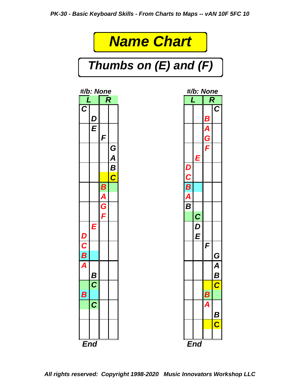# *Name Chart*

*Thumbs on (E) and (F)*



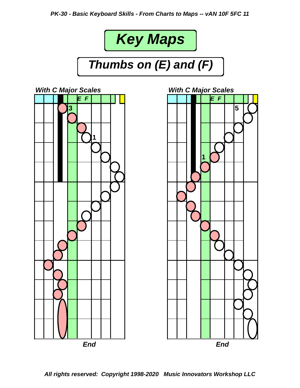



*Thumbs on (E) and (F)*



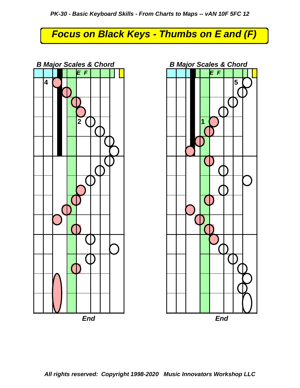## *Focus on Black Keys - Thumbs on E and (F)*



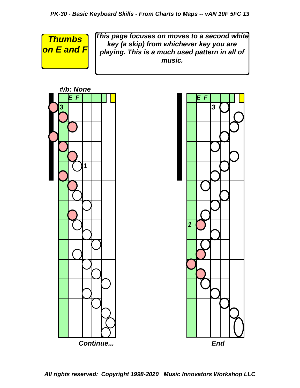*Thumbs on E and F* *This page focuses on moves to a second white key (a skip) from whichever key you are playing. This is a much used pattern in all of music.*



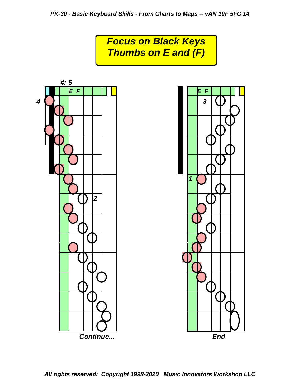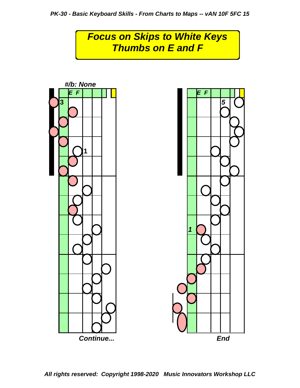# *Focus on Skips to White Keys Thumbs on E and F*

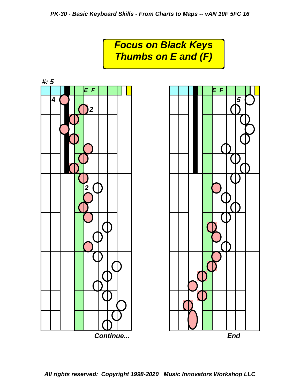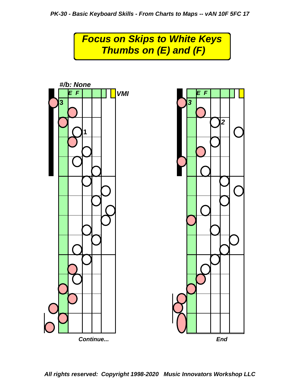## *Focus on Skips to White Keys Thumbs on (E) and (F)*

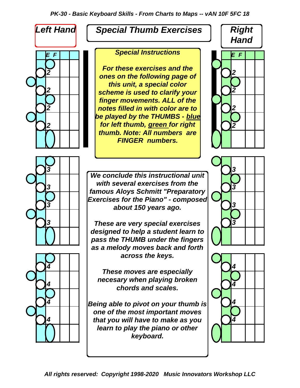

### *Special Thumb Exercises*

2 **2** *ones on the following page of 2 2 scheme is used to clarify your 2 2 notes filled in with color are to 2 2 for left thumb, green for right For these exercises and the this unit, a special color finger movements. ALL of the be played by the THUMBS - blue thumb. Note: All numbers are FINGER numbers.*

*3 3 3 3 about 150 years ago. We conclude this instructional unit with several exercises from the famous Aloys Schmitt "Preparatory Exercises for the Piano" - composed*

*3 3 These are very special exercises designed to help a student learn to pass the THUMB under the fingers as a melody moves back and forth across the keys.*

 $\left\{\begin{array}{c|c} \begin{array}{c} \text{ncocson } y \text{ from } \text{pagny in group of } z \text{ is } 0. \end{array} \\ \hline \text{chords and scales.} \end{array}\right\}$ *These moves are especially necesary when playing broken*

*4 4 Being able to pivot on your thumb is 4 4 that you will have to make as you one of the most important moves learn to play the piano or other keyboard.*







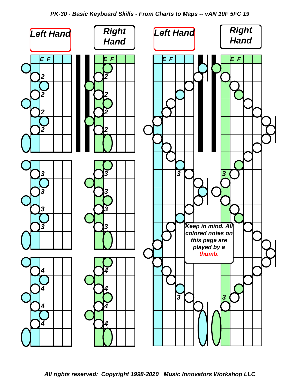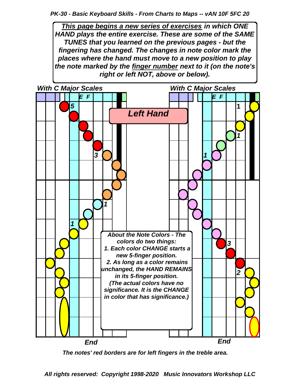*This page begins a new series of exercises in which ONE HAND plays the entire exercise. These are some of the SAME TUNES that you learned on the previous pages - but the fingering has changed. The changes in note color mark the places where the hand must move to a new position to play the note marked by the finger number next to it (on the note's right or left NOT, above or below).*



 *The notes' red borders are for left fingers in the treble area.*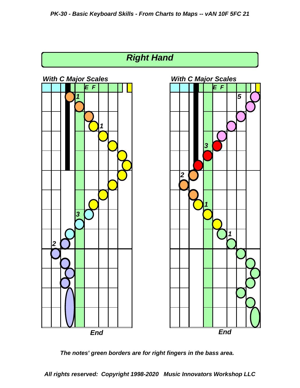

 *The notes' green borders are for right fingers in the bass area.*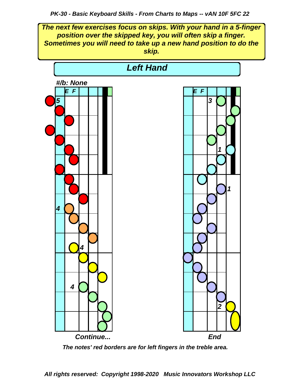*The next few exercises focus on skips. With your hand in a 5-finger position over the skipped key, you will often skip a finger. Sometimes you will need to take up a new hand position to do the skip.*



 *The notes' red borders are for left fingers in the treble area.*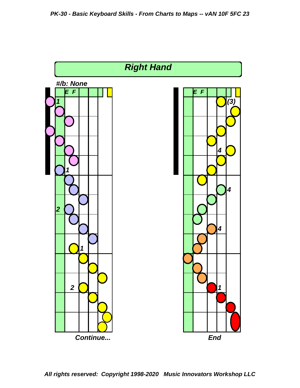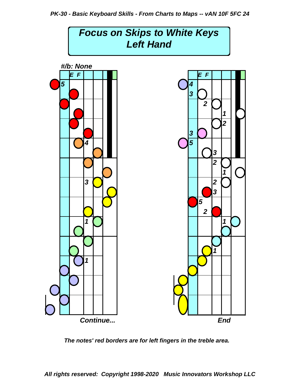

 *The notes' red borders are for left fingers in the treble area.*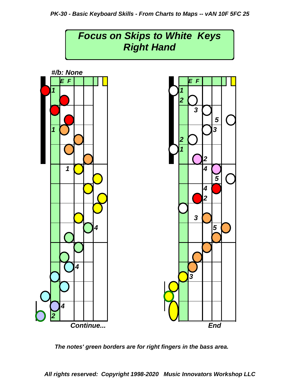

 *The notes' green borders are for right fingers in the bass area.*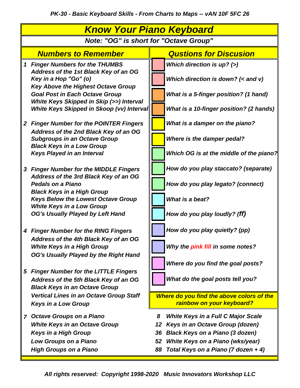| <u>Know Your Piano Keyboard</u>               |                                                                                                                         |    |                                                                        |
|-----------------------------------------------|-------------------------------------------------------------------------------------------------------------------------|----|------------------------------------------------------------------------|
| <b>Note: "OG" is short for "Octave Group"</b> |                                                                                                                         |    |                                                                        |
|                                               | <b>Numbers to Remember</b>                                                                                              |    | <b>Qustions for Discusion</b>                                          |
| $\mathbf 1$                                   | <b>Finger Numbers for the THUMBS</b>                                                                                    |    | Which direction is $up?$ (>)                                           |
|                                               | Address of the 1st Black Key of an OG<br>Key in a Hop "Go" (o)<br><b>Key Above the Highest Octave Group</b>             |    | Which direction is down? $(<$ and v)                                   |
|                                               | <b>Goal Post in Each Octave Group</b><br>White Keys Skipped in Skip (>>) Interval                                       |    | What is a 5-finger position? (1 hand)                                  |
|                                               | White Keys Skipped in Skoop (vv) Interval                                                                               |    | What is a 10-finger position? (2 hands)                                |
|                                               | 2 Finger Number for the POINTER Fingers<br>Address of the 2nd Black Key of an OG                                        |    | What is a damper on the piano?                                         |
|                                               | <b>Subgroups in an Octave Group</b><br><b>Black Keys in a Low Group</b>                                                 |    | Where is the damper pedal?                                             |
|                                               | <b>Keys Played in an Interval</b>                                                                                       |    | Which OG is at the middle of the piano?                                |
|                                               | 3 Finger Number for the MIDDLE Fingers<br>Address of the 3rd Black Key of an OG                                         |    | How do you play staccato? (separate)                                   |
|                                               | <b>Pedals on a Piano</b><br><b>Black Keys in a High Group</b>                                                           |    | How do you play legato? (connect)                                      |
|                                               | <b>Keys Below the Lowest Octave Group</b><br><b>White Keys in a Low Group</b>                                           |    | What is a beat?                                                        |
|                                               | <b>OG's Usually Played by Left Hand</b>                                                                                 |    | How do you play loudly? (ff)                                           |
|                                               | 4 Finger Number for the RING Fingers<br>Address of the 4th Black Key of an OG                                           |    | How do you play quietly? (pp)                                          |
|                                               | <b>White Keys in a High Group</b><br>OG's Usually Played by the Right Hand                                              |    | Why the pink fill in some notes?                                       |
|                                               |                                                                                                                         |    | Where do you find the goal posts?                                      |
|                                               | 5 Finger Number for the LITTLE Fingers<br>Address of the 5th Black Key of an OG<br><b>Black Keys in an Octave Group</b> |    | What do the goal posts tell you?                                       |
|                                               | <b>Vertical Lines in an Octave Group Staff</b><br><b>Keys in a Low Group</b>                                            |    | Where do you find the above colors of the<br>rainbow on your keyboard? |
| $\overline{7}$                                | <b>Octave Groups on a Piano</b>                                                                                         | 8  | <b>White Keys in a Full C Major Scale</b>                              |
|                                               | <b>White Keys in an Octave Group</b>                                                                                    | 12 | Keys in an Octave Group (dozen)                                        |
|                                               | <b>Keys in a High Group</b>                                                                                             | 36 | <b>Black Keys on a Piano (3 dozen)</b>                                 |
|                                               | Low Groups on a Piano                                                                                                   | 52 | White Keys on a Piano (wks/year)                                       |
|                                               | <b>High Groups on a Piano</b>                                                                                           | 88 | Total Keys on a Piano (7 dozen + 4)                                    |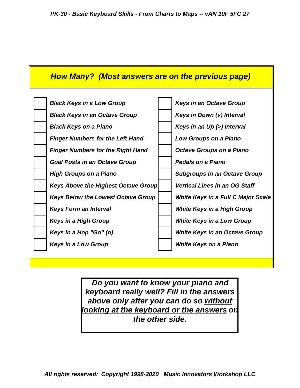

*Do you want to know your piano and keyboard really well? Fill in the answers above only after you can do so without looking at the keyboard or the answers on the other side.*